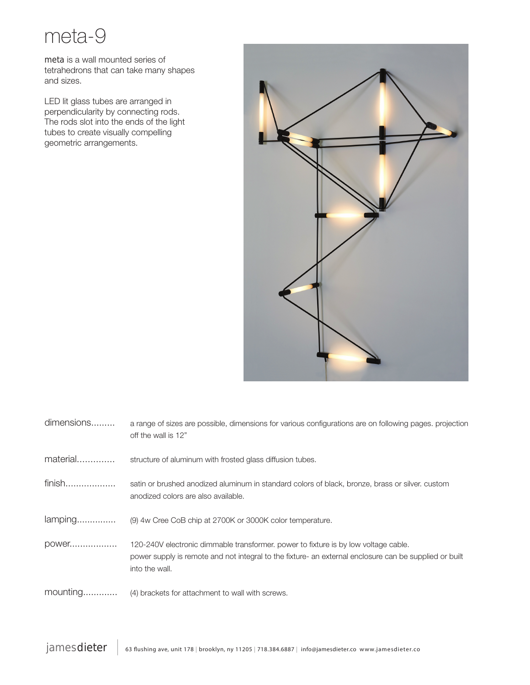#### meta-9

**meta** is a wall mounted series of tetrahedrons that can take many shapes and sizes.

LED lit glass tubes are arranged in perpendicularity by connecting rods. The rods slot into the ends of the light tubes to create visually compelling geometric arrangements.



| dimensions | a range of sizes are possible, dimensions for various configurations are on following pages. projection<br>off the wall is 12"                                                                                  |
|------------|-----------------------------------------------------------------------------------------------------------------------------------------------------------------------------------------------------------------|
| material   | structure of aluminum with frosted glass diffusion tubes.                                                                                                                                                       |
| finish     | satin or brushed anodized aluminum in standard colors of black, bronze, brass or silver, custom<br>anodized colors are also available.                                                                          |
|            | (9) 4w Cree CoB chip at 2700K or 3000K color temperature.                                                                                                                                                       |
| $power$    | 120-240V electronic dimmable transformer, power to fixture is by low voltage cable.<br>power supply is remote and not integral to the fixture- an external enclosure can be supplied or built<br>into the wall. |
| mounting   | (4) brackets for attachment to wall with screws.                                                                                                                                                                |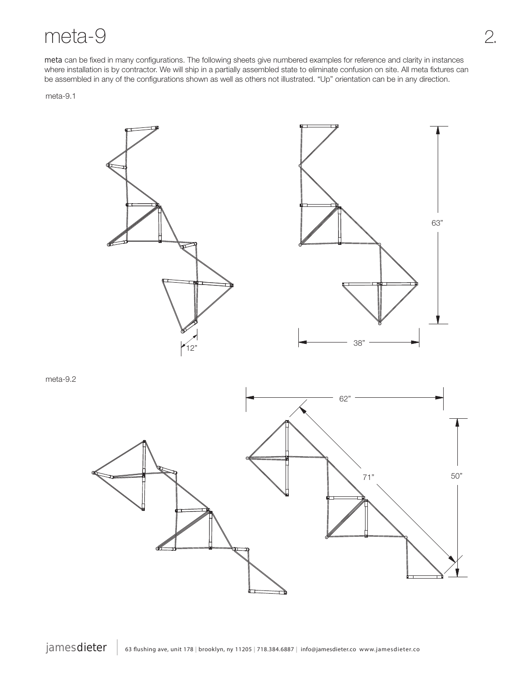#### meta-9

**meta** can be fixed in many configurations. The following sheets give numbered examples for reference and clarity in instances where installation is by contractor. We will ship in a partially assembled state to eliminate confusion on site. All meta fixtures can be assembled in any of the configurations shown as well as others not illustrated. "Up" orientation can be in any direction.

meta-9.1



meta-9.2

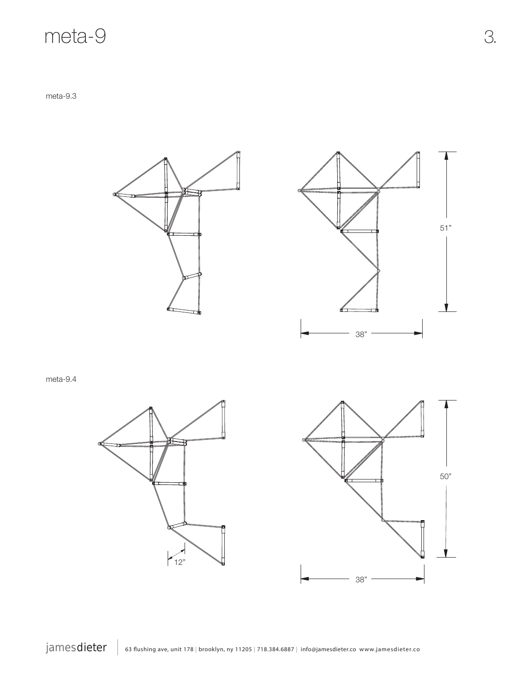# meta-9 3.

meta-9.3





meta-9.4





**jamesdieter** | 63 flushing ave, unit 178 | brooklyn, ny 11205 | 718.384.6887 | info@jamesdieter.co www.jamesdieter.co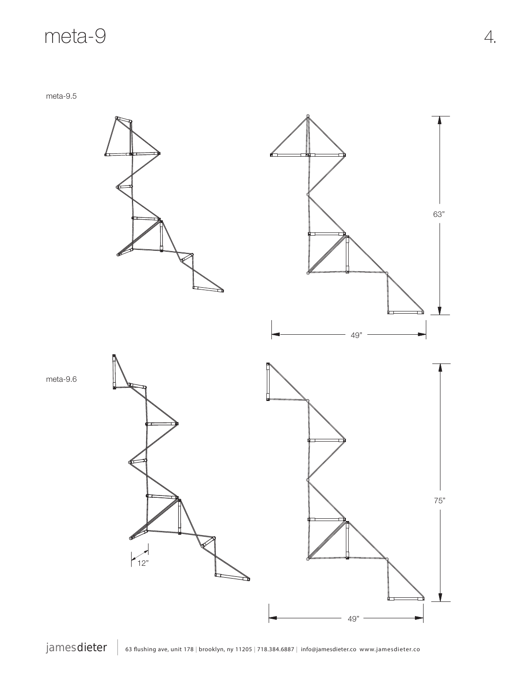# meta-9 4.

meta-9.5



meta-9.6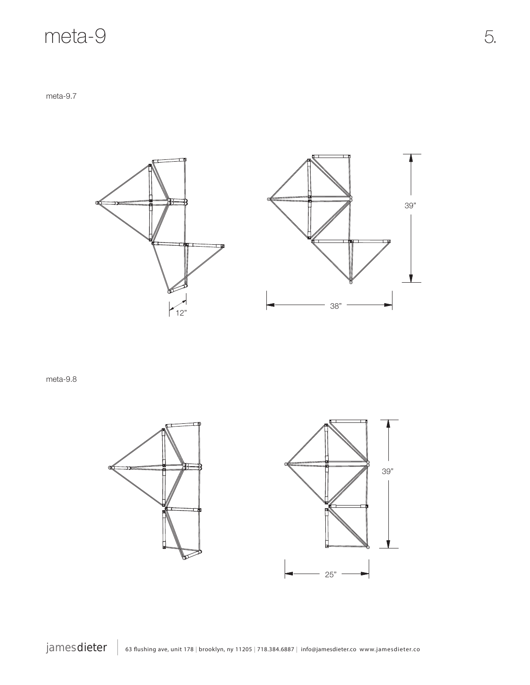# meta-9 5.

meta-9.7



meta-9.8



jamesdieter | 63 flushing ave, unit 178 | brooklyn, ny 11205 | 718.384.6887 | info@jamesdieter.co www.jamesdieter.co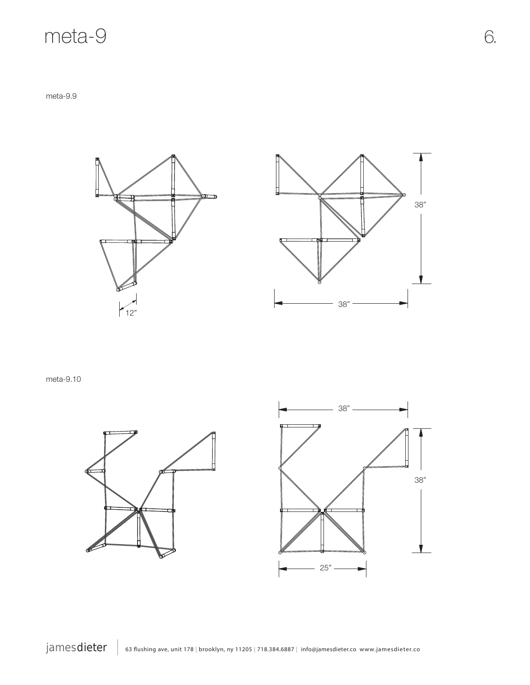# meta-9 6.

meta-9.9





meta-9.10